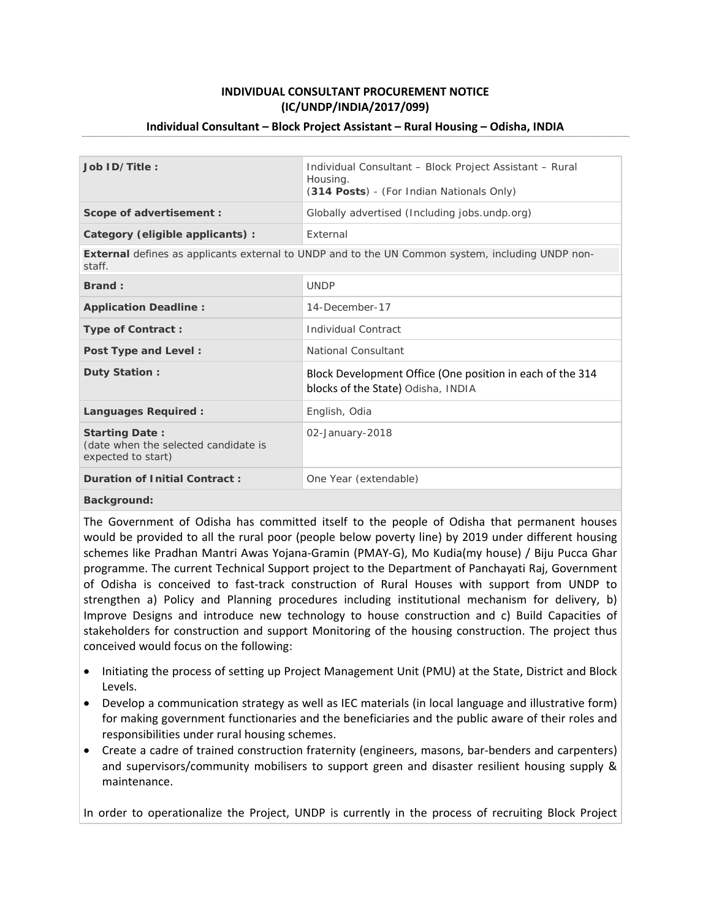# **INDIVIDUAL CONSULTANT PROCUREMENT NOTICE (IC/UNDP/INDIA/2017/099)**

#### **Individual Consultant – Block Project Assistant – Rural Housing – Odisha, INDIA**

| Job ID/Title:                                                                                                     | Individual Consultant - Block Project Assistant - Rural<br>Housing.<br>(314 Posts) - (For Indian Nationals Only) |
|-------------------------------------------------------------------------------------------------------------------|------------------------------------------------------------------------------------------------------------------|
| Scope of advertisement :                                                                                          | Globally advertised (Including jobs.undp.org)                                                                    |
| Category (eligible applicants) :                                                                                  | External                                                                                                         |
| <b>External</b> defines as applicants external to UNDP and to the UN Common system, including UNDP non-<br>staff. |                                                                                                                  |
| Brand:                                                                                                            | <b>UNDP</b>                                                                                                      |
| <b>Application Deadline:</b>                                                                                      | 14-December-17                                                                                                   |
| Type of Contract:                                                                                                 | Individual Contract                                                                                              |
| Post Type and Level:                                                                                              | National Consultant                                                                                              |
| Duty Station:                                                                                                     | Block Development Office (One position in each of the 314<br>blocks of the State) Odisha, INDIA                  |
| Languages Required:                                                                                               | English, Odia                                                                                                    |
| <b>Starting Date:</b><br>(date when the selected candidate is<br>expected to start)                               | 02-January-2018                                                                                                  |
| <b>Duration of Initial Contract:</b>                                                                              | One Year (extendable)                                                                                            |
| Background:                                                                                                       |                                                                                                                  |

The Government of Odisha has committed itself to the people of Odisha that permanent houses would be provided to all the rural poor (people below poverty line) by 2019 under different housing schemes like Pradhan Mantri Awas Yojana‐Gramin (PMAY‐G), Mo Kudia(my house) / Biju Pucca Ghar programme. The current Technical Support project to the Department of Panchayati Raj, Government of Odisha is conceived to fast‐track construction of Rural Houses with support from UNDP to strengthen a) Policy and Planning procedures including institutional mechanism for delivery, b) Improve Designs and introduce new technology to house construction and c) Build Capacities of stakeholders for construction and support Monitoring of the housing construction. The project thus conceived would focus on the following:

- Initiating the process of setting up Project Management Unit (PMU) at the State, District and Block Levels.
- Develop a communication strategy as well as IEC materials (in local language and illustrative form) for making government functionaries and the beneficiaries and the public aware of their roles and responsibilities under rural housing schemes.
- Create a cadre of trained construction fraternity (engineers, masons, bar-benders and carpenters) and supervisors/community mobilisers to support green and disaster resilient housing supply & maintenance.

In order to operationalize the Project, UNDP is currently in the process of recruiting Block Project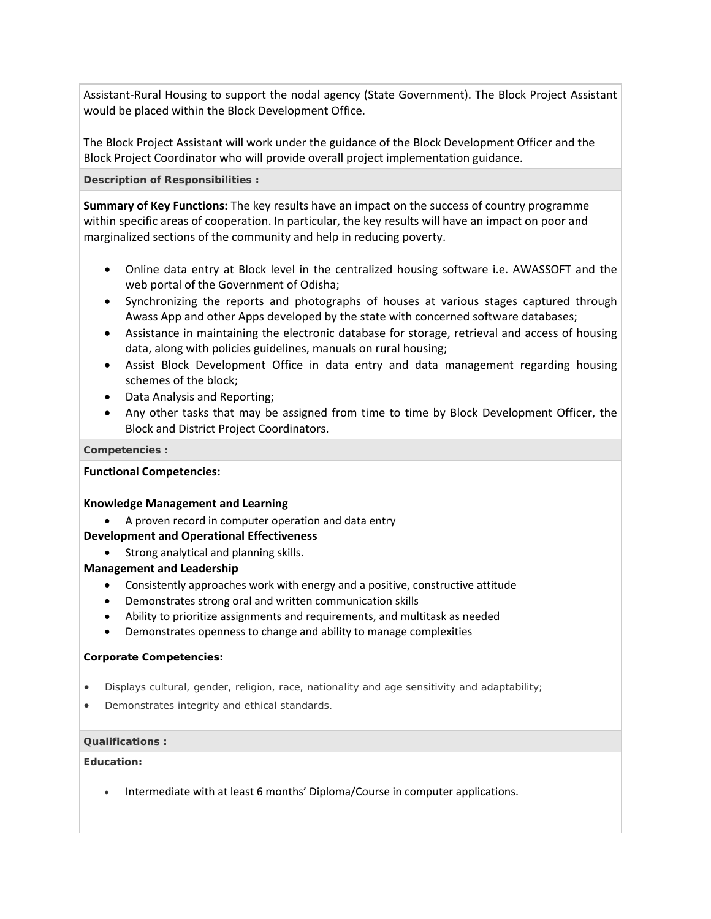Assistant‐Rural Housing to support the nodal agency (State Government). The Block Project Assistant would be placed within the Block Development Office.

The Block Project Assistant will work under the guidance of the Block Development Officer and the Block Project Coordinator who will provide overall project implementation guidance.

**Description of Responsibilities :**

**Summary of Key Functions:** The key results have an impact on the success of country programme within specific areas of cooperation. In particular, the key results will have an impact on poor and marginalized sections of the community and help in reducing poverty.

- Online data entry at Block level in the centralized housing software i.e. AWASSOFT and the web portal of the Government of Odisha;
- Synchronizing the reports and photographs of houses at various stages captured through Awass App and other Apps developed by the state with concerned software databases;
- Assistance in maintaining the electronic database for storage, retrieval and access of housing data, along with policies guidelines, manuals on rural housing;
- Assist Block Development Office in data entry and data management regarding housing schemes of the block;
- Data Analysis and Reporting;
- Any other tasks that may be assigned from time to time by Block Development Officer, the Block and District Project Coordinators.

# **Competencies :**

# **Functional Competencies:**

## **Knowledge Management and Learning**

A proven record in computer operation and data entry

# **Development and Operational Effectiveness**

• Strong analytical and planning skills.

# **Management and Leadership**

- Consistently approaches work with energy and a positive, constructive attitude
- Demonstrates strong oral and written communication skills
- Ability to prioritize assignments and requirements, and multitask as needed
- Demonstrates openness to change and ability to manage complexities

## **Corporate Competencies:**

- Displays cultural, gender, religion, race, nationality and age sensitivity and adaptability;
- Demonstrates integrity and ethical standards.

## **Qualifications :**

## **Education:**

• Intermediate with at least 6 months' Diploma/Course in computer applications.